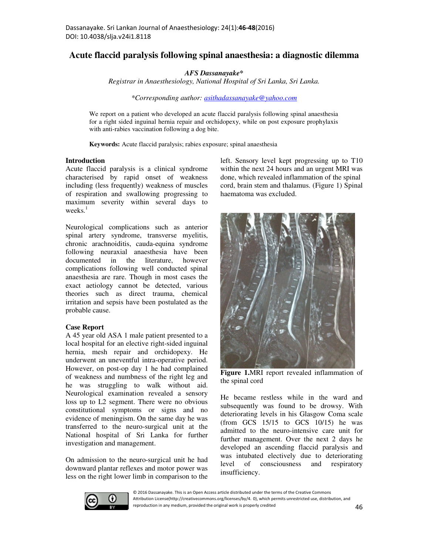# **Acute flaccid paralysis following spinal anaesthesia: a diagnostic dilemma**

*AFS Dassanayake\** 

*Registrar in Anaesthesiology, National Hospital of Sri Lanka, Sri Lanka.* 

*\*Corresponding author: asithadassanayake@yahoo.com*

We report on a patient who developed an acute flaccid paralysis following spinal anaesthesia for a right sided inguinal hernia repair and orchidopexy, while on post exposure prophylaxis with anti-rabies vaccination following a dog bite.

**Keywords:** Acute flaccid paralysis; rabies exposure; spinal anaesthesia

#### **Introduction**

Acute flaccid paralysis is a clinical syndrome characterised by rapid onset of weakness including (less frequently) weakness of muscles of respiration and swallowing progressing to maximum severity within several days to weeks.<sup>1</sup>

Neurological complications such as anterior spinal artery syndrome, transverse myelitis, chronic arachnoiditis, cauda-equina syndrome following neuraxial anaesthesia have been documented in the literature, however complications following well conducted spinal anaesthesia are rare. Though in most cases the exact aetiology cannot be detected, various theories such as direct trauma, chemical irritation and sepsis have been postulated as the probable cause.

#### **Case Report**

A 45 year old ASA 1 male patient presented to a local hospital for an elective right-sided inguinal hernia, mesh repair and orchidopexy. He underwent an uneventful intra-operative period. However, on post-op day 1 he had complained of weakness and numbness of the right leg and he was struggling to walk without aid. Neurological examination revealed a sensory loss up to L2 segment. There were no obvious constitutional symptoms or signs and no evidence of meningism. On the same day he was transferred to the neuro-surgical unit at the National hospital of Sri Lanka for further investigation and management.

On admission to the neuro-surgical unit he had downward plantar reflexes and motor power was less on the right lower limb in comparison to the left. Sensory level kept progressing up to T10 within the next 24 hours and an urgent MRI was done, which revealed inflammation of the spinal cord, brain stem and thalamus. (Figure 1) Spinal haematoma was excluded.



**Figure 1.**MRI report revealed inflammation of the spinal cord

He became restless while in the ward and subsequently was found to be drowsy. With deteriorating levels in his Glasgow Coma scale (from GCS 15/15 to GCS 10/15) he was admitted to the neuro-intensive care unit for further management. Over the next 2 days he developed an ascending flaccid paralysis and was intubated electively due to deteriorating level of consciousness and respiratory insufficiency.



© 2016 Dassanayake. This is an Open Access article distributed under the terms of the Creative Commons Attribution License(http://creativecommons.org/licenses/by/4. 0), which permits unrestricted use, distribution, and reproduction in any medium, provided the original work is properly credited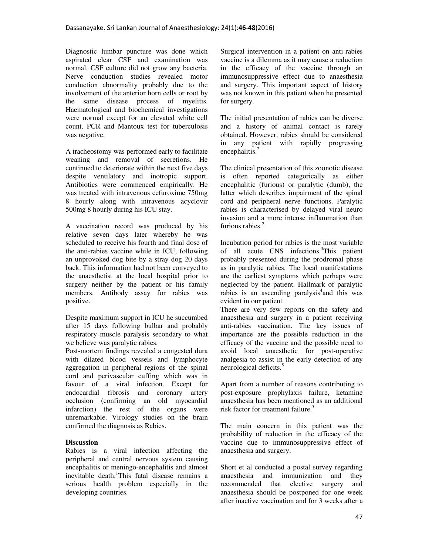Diagnostic lumbar puncture was done which aspirated clear CSF and examination was normal. CSF culture did not grow any bacteria. Nerve conduction studies revealed motor conduction abnormality probably due to the involvement of the anterior horn cells or root by the same disease process of myelitis. Haematological and biochemical investigations were normal except for an elevated white cell count. PCR and Mantoux test for tuberculosis was negative.

A tracheostomy was performed early to facilitate weaning and removal of secretions. He continued to deteriorate within the next five days despite ventilatory and inotropic support. Antibiotics were commenced empirically. He was treated with intravenous cefuroxime 750mg 8 hourly along with intravenous acyclovir 500mg 8 hourly during his ICU stay.

A vaccination record was produced by his relative seven days later whereby he was scheduled to receive his fourth and final dose of the anti-rabies vaccine while in ICU, following an unprovoked dog bite by a stray dog 20 days back. This information had not been conveyed to the anaesthetist at the local hospital prior to surgery neither by the patient or his family members. Antibody assay for rabies was positive.

Despite maximum support in ICU he succumbed after 15 days following bulbar and probably respiratory muscle paralysis secondary to what we believe was paralytic rabies.

Post-mortem findings revealed a congested dura with dilated blood vessels and lymphocyte aggregation in peripheral regions of the spinal cord and perivascular cuffing which was in favour of a viral infection. Except for endocardial fibrosis and coronary artery occlusion (confirming an old myocardial infarction) the rest of the organs were unremarkable. Virology studies on the brain confirmed the diagnosis as Rabies.

## **Discussion**

Rabies is a viral infection affecting the peripheral and central nervous system causing encephalitis or meningo-encephalitis and almost inevitable death.<sup>1</sup>This fatal disease remains a serious health problem especially in the developing countries.

Surgical intervention in a patient on anti-rabies vaccine is a dilemma as it may cause a reduction in the efficacy of the vaccine through an immunosuppressive effect due to anaesthesia and surgery. This important aspect of history was not known in this patient when he presented for surgery.

The initial presentation of rabies can be diverse and a history of animal contact is rarely obtained. However, rabies should be considered in any patient with rapidly progressing encephalitis.<sup>2</sup>

The clinical presentation of this zoonotic disease is often reported categorically as either encephalitic (furious) or paralytic (dumb), the latter which describes impairment of the spinal cord and peripheral nerve functions. Paralytic rabies is characterised by delayed viral neuro invasion and a more intense inflammation than furious rabies.<sup>2</sup>

Incubation period for rabies is the most variable of all acute CNS infections.<sup>3</sup>This patient probably presented during the prodromal phase as in paralytic rabies. The local manifestations are the earliest symptoms which perhaps were neglected by the patient. Hallmark of paralytic rabies is an ascending paralysis<sup>4</sup> and this was evident in our patient.

There are very few reports on the safety and anaesthesia and surgery in a patient receiving anti-rabies vaccination. The key issues of importance are the possible reduction in the efficacy of the vaccine and the possible need to avoid local anaesthetic for post-operative analgesia to assist in the early detection of any neurological deficits.<sup>5</sup>

Apart from a number of reasons contributing to post-exposure prophylaxis failure, ketamine anaesthesia has been mentioned as an additional risk factor for treatment failure.<sup>5</sup>

The main concern in this patient was the probability of reduction in the efficacy of the vaccine due to immunosuppressive effect of anaesthesia and surgery.

Short et al conducted a postal survey regarding anaesthesia and immunization and they recommended that elective surgery and anaesthesia should be postponed for one week after inactive vaccination and for 3 weeks after a